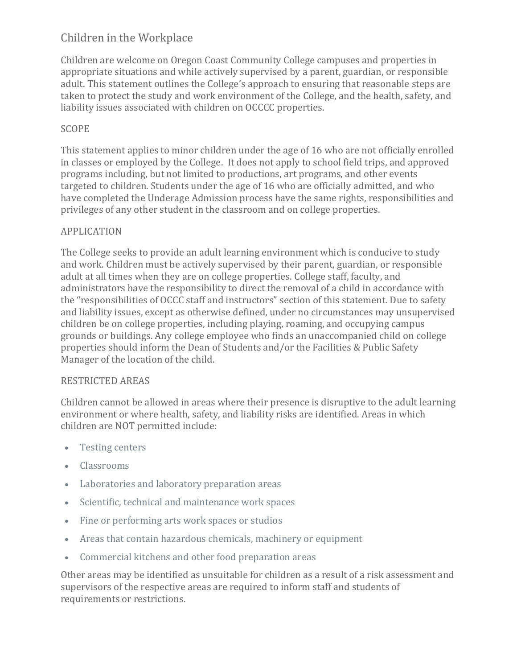# Children in the Workplace

Children are welcome on Oregon Coast Community College campuses and properties in appropriate situations and while actively supervised by a parent, guardian, or responsible adult. This statement outlines the College's approach to ensuring that reasonable steps are taken to protect the study and work environment of the College, and the health, safety, and liability issues associated with children on OCCCC properties.

## SCOPE

This statement applies to minor children under the age of 16 who are not officially enrolled in classes or employed by the College. It does not apply to school field trips, and approved programs including, but not limited to productions, art programs, and other events targeted to children. Students under the age of 16 who are officially admitted, and who have completed the Underage Admission process have the same rights, responsibilities and privileges of any other student in the classroom and on college properties.

## APPLICATION

The College seeks to provide an adult learning environment which is conducive to study and work. Children must be actively supervised by their parent, guardian, or responsible adult at all times when they are on college properties. College staff, faculty, and administrators have the responsibility to direct the removal of a child in accordance with the "responsibilities of OCCC staff and instructors" section of this statement. Due to safety and liability issues, except as otherwise defined, under no circumstances may unsupervised children be on college properties, including playing, roaming, and occupying campus grounds or buildings. Any college employee who finds an unaccompanied child on college properties should inform the Dean of Students and/or the Facilities & Public Safety Manager of the location of the child.

## RESTRICTED AREAS

Children cannot be allowed in areas where their presence is disruptive to the adult learning environment or where health, safety, and liability risks are identified. Areas in which children are NOT permitted include:

- Testing centers
- Classrooms
- Laboratories and laboratory preparation areas
- Scientific, technical and maintenance work spaces
- Fine or performing arts work spaces or studios
- Areas that contain hazardous chemicals, machinery or equipment
- Commercial kitchens and other food preparation areas

Other areas may be identified as unsuitable for children as a result of a risk assessment and supervisors of the respective areas are required to inform staff and students of requirements or restrictions.